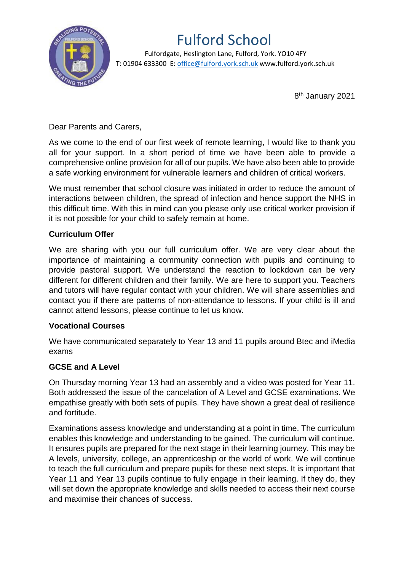

# Fulford School

 Fulfordgate, Heslington Lane, Fulford, York. YO10 4FY T: 01904 633300 E: office@fulford.york.sch.uk www.fulford.york.sch.uk

8 th January 2021

Dear Parents and Carers,

As we come to the end of our first week of remote learning, I would like to thank you all for your support. In a short period of time we have been able to provide a comprehensive online provision for all of our pupils. We have also been able to provide a safe working environment for vulnerable learners and children of critical workers.

We must remember that school closure was initiated in order to reduce the amount of interactions between children, the spread of infection and hence support the NHS in this difficult time. With this in mind can you please only use critical worker provision if it is not possible for your child to safely remain at home.

## **Curriculum Offer**

We are sharing with you our full curriculum offer. We are very clear about the importance of maintaining a community connection with pupils and continuing to provide pastoral support. We understand the reaction to lockdown can be very different for different children and their family. We are here to support you. Teachers and tutors will have regular contact with your children. We will share assemblies and contact you if there are patterns of non-attendance to lessons. If your child is ill and cannot attend lessons, please continue to let us know.

### **Vocational Courses**

We have communicated separately to Year 13 and 11 pupils around Btec and iMedia exams

### **GCSE and A Level**

On Thursday morning Year 13 had an assembly and a video was posted for Year 11. Both addressed the issue of the cancelation of A Level and GCSE examinations. We empathise greatly with both sets of pupils. They have shown a great deal of resilience and fortitude.

Examinations assess knowledge and understanding at a point in time. The curriculum enables this knowledge and understanding to be gained. The curriculum will continue. It ensures pupils are prepared for the next stage in their learning journey. This may be A levels, university, college, an apprenticeship or the world of work. We will continue to teach the full curriculum and prepare pupils for these next steps. It is important that Year 11 and Year 13 pupils continue to fully engage in their learning. If they do, they will set down the appropriate knowledge and skills needed to access their next course and maximise their chances of success.